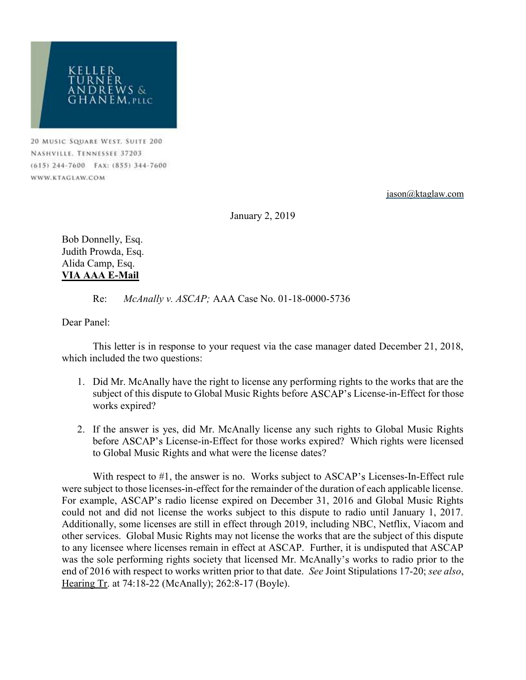

20 MUSIC SQUARE WEST, SUITE 200 NASHVILLE. TENNESSEE 37203 (615) 244-7600 FAX: (855) 344-7600 WWW.KTAGLAW.COM

jason@ktaglaw.com

January 2, 2019

Bob Donnelly, Esq. Judith Prowda, Esq. Alida Camp, Esq. VIA AAA E-Mail

Re: McAnally v. ASCAP; AAA Case No. 01-18-0000-5736

Dear Panel:

 This letter is in response to your request via the case manager dated December 21, 2018, which included the two questions:

- 1. Did Mr. McAnally have the right to license any performing rights to the works that are the subject of this dispute to Global Music Rights before ASCAP's License-in-Effect for those works expired?
- 2. If the answer is yes, did Mr. McAnally license any such rights to Global Music Rights before ASCAP's License-in-Effect for those works expired? Which rights were licensed to Global Music Rights and what were the license dates?

With respect to  $#1$ , the answer is no. Works subject to  $ASCAP's$  Licenses-In-Effect rule were subject to those licenses-in-effect for the remainder of the duration of each applicable license. For example, ASCAP's radio license expired on December 31, 2016 and Global Music Rights could not and did not license the works subject to this dispute to radio until January 1, 2017. Additionally, some licenses are still in effect through 2019, including NBC, Netflix, Viacom and other services. Global Music Rights may not license the works that are the subject of this dispute to any licensee where licenses remain in effect at ASCAP. Further, it is undisputed that ASCAP was the sole performing rights society that licensed Mr. McAnally's works to radio prior to the end of 2016 with respect to works written prior to that date. See Joint Stipulations 17-20; see also, Hearing Tr. at 74:18-22 (McAnally); 262:8-17 (Boyle).